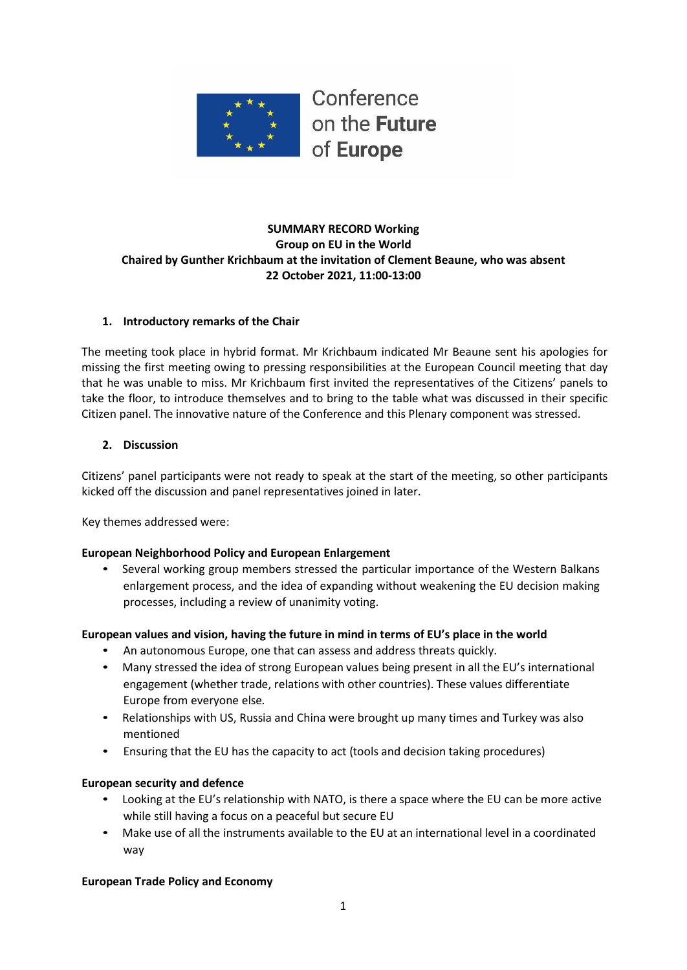

## **SUMMARY RECORD Working Group on EU in the World Chaired by Gunther Krichbaum at the invitation of Clement Beaune, who was absent 22 October 2021, 11:00-13:00**

#### **1. Introductory remarks of the Chair**

The meeting took place in hybrid format. Mr Krichbaum indicated Mr Beaune sent his apologies for missing the first meeting owing to pressing responsibilities at the European Council meeting that day that he was unable to miss. Mr Krichbaum first invited the representatives of the Citizens' panels to take the floor, to introduce themselves and to bring to the table what was discussed in their specific Citizen panel. The innovative nature of the Conference and this Plenary component was stressed.

#### **2. Discussion**

Citizens' panel participants were not ready to speak at the start of the meeting, so other participants kicked off the discussion and panel representatives joined in later.

Key themes addressed were:

#### **European Neighborhood Policy and European Enlargement**

• Several working group members stressed the particular importance of the Western Balkans enlargement process, and the idea of expanding without weakening the EU decision making processes, including a review of unanimity voting.

#### **European values and vision, having the future in mind in terms of EU's place in the world**

- An autonomous Europe, one that can assess and address threats quickly.
- Many stressed the idea of strong European values being present in all the EU's international engagement (whether trade, relations with other countries). These values differentiate Europe from everyone else.
- Relationships with US, Russia and China were brought up many times and Turkey was also mentioned
- Ensuring that the EU has the capacity to act (tools and decision taking procedures)

#### **European security and defence**

- Looking at the EU's relationship with NATO, is there a space where the EU can be more active while still having a focus on a peaceful but secure EU
- Make use of all the instruments available to the EU at an international level in a coordinated way

#### **European Trade Policy and Economy**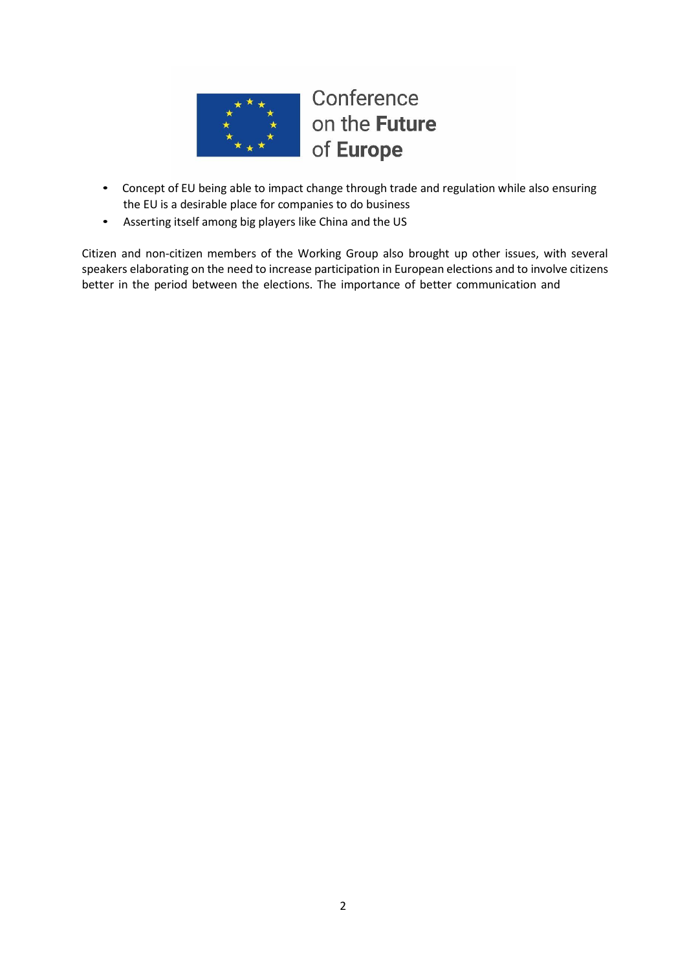

- Concept of EU being able to impact change through trade and regulation while also ensuring the EU is a desirable place for companies to do business
- Asserting itself among big players like China and the US

Citizen and non-citizen members of the Working Group also brought up other issues, with several speakers elaborating on the need to increase participation in European elections and to involve citizens better in the period between the elections. The importance of better communication and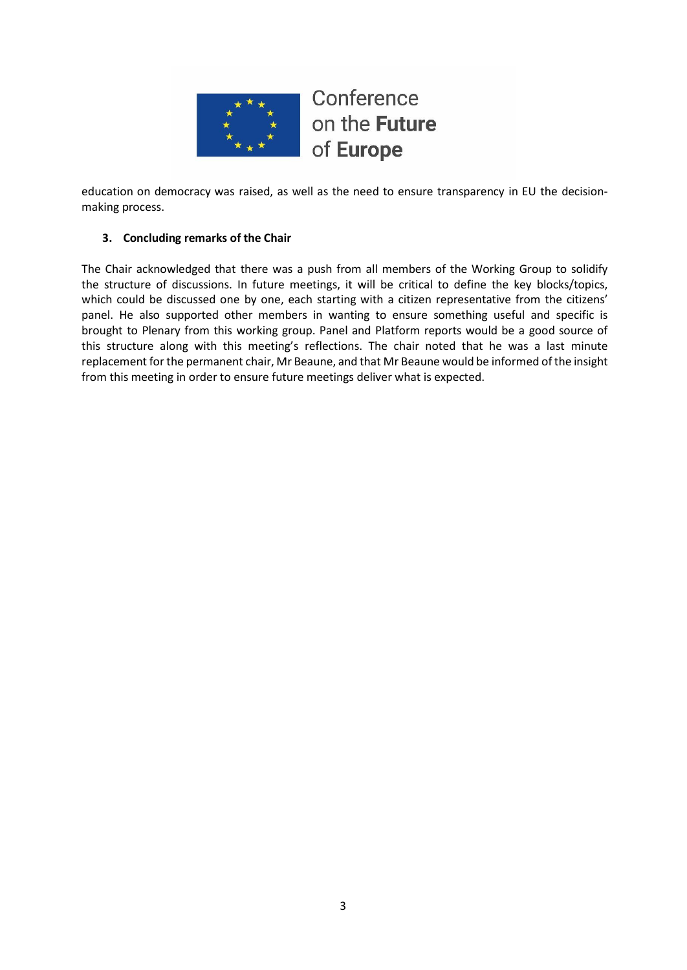

education on democracy was raised, as well as the need to ensure transparency in EU the decisionmaking process.

## **3. Concluding remarks of the Chair**

The Chair acknowledged that there was a push from all members of the Working Group to solidify the structure of discussions. In future meetings, it will be critical to define the key blocks/topics, which could be discussed one by one, each starting with a citizen representative from the citizens' panel. He also supported other members in wanting to ensure something useful and specific is brought to Plenary from this working group. Panel and Platform reports would be a good source of this structure along with this meeting's reflections. The chair noted that he was a last minute replacement forthe permanent chair, Mr Beaune, and that Mr Beaune would be informed of the insight from this meeting in order to ensure future meetings deliver what is expected.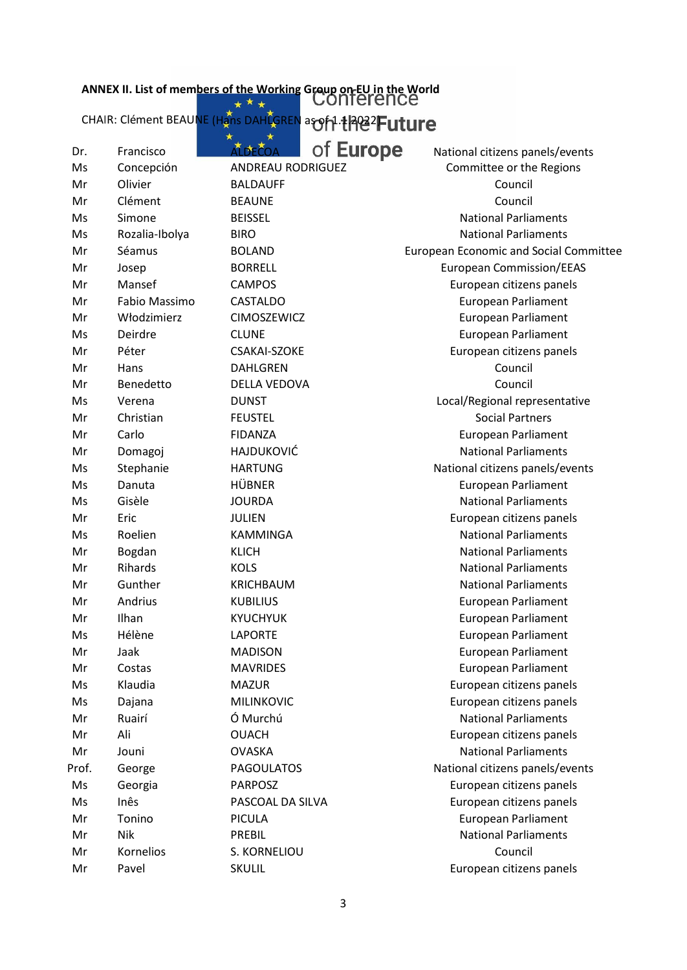## **ANN EX II. List of member s of the Working Group on EU i n the World**

CHAIR: Clément BEAU<mark>NE (Hans DAHLGREN</mark> as **of 1.1 202**2)

| Dr.   | Francisco      | <b>ALDECOA</b>      | of <b>Europe</b> | National citizens panels/events               |
|-------|----------------|---------------------|------------------|-----------------------------------------------|
| Ms    | Concepción     | ANDREAU RODRIGUEZ   |                  | Committee or the Regions                      |
| Mr    | Olivier        | <b>BALDAUFF</b>     |                  | Council                                       |
| Mr    | Clément        | <b>BEAUNE</b>       |                  | Council                                       |
| Ms    | Simone         | <b>BEISSEL</b>      |                  | <b>National Parliaments</b>                   |
| Ms    | Rozalia-Ibolya | <b>BIRO</b>         |                  | <b>National Parliaments</b>                   |
| Mr    | Séamus         | <b>BOLAND</b>       |                  | <b>European Economic and Social Committee</b> |
| Mr    | Josep          | <b>BORRELL</b>      |                  | <b>European Commission/EEAS</b>               |
| Mr    | Mansef         | <b>CAMPOS</b>       |                  | European citizens panels                      |
| Mr    | Fabio Massimo  | CASTALDO            |                  | <b>European Parliament</b>                    |
| Mr    | Włodzimierz    | <b>CIMOSZEWICZ</b>  |                  | <b>European Parliament</b>                    |
| Ms    | Deirdre        | <b>CLUNE</b>        |                  | <b>European Parliament</b>                    |
| Mr    | Péter          | <b>CSAKAI-SZOKE</b> |                  | European citizens panels                      |
| Mr    | Hans           | <b>DAHLGREN</b>     |                  | Council                                       |
| Mr    | Benedetto      | DELLA VEDOVA        |                  | Council                                       |
| Ms    | Verena         | <b>DUNST</b>        |                  | Local/Regional representative                 |
| Mr    | Christian      | <b>FEUSTEL</b>      |                  | <b>Social Partners</b>                        |
| Mr    | Carlo          | <b>FIDANZA</b>      |                  | <b>European Parliament</b>                    |
| Mr    | Domagoj        | <b>HAJDUKOVIĆ</b>   |                  | <b>National Parliaments</b>                   |
| Ms    | Stephanie      | <b>HARTUNG</b>      |                  | National citizens panels/events               |
| Ms    | Danuta         | <b>HÜBNER</b>       |                  | <b>European Parliament</b>                    |
| Ms    | Gisèle         | <b>JOURDA</b>       |                  | <b>National Parliaments</b>                   |
| Mr    | Eric           | <b>JULIEN</b>       |                  | European citizens panels                      |
| Ms    | Roelien        | <b>KAMMINGA</b>     |                  | <b>National Parliaments</b>                   |
| Mr    | Bogdan         | <b>KLICH</b>        |                  | <b>National Parliaments</b>                   |
| Mr    | Rihards        | <b>KOLS</b>         |                  | <b>National Parliaments</b>                   |
| Mr    | Gunther        | <b>KRICHBAUM</b>    |                  | <b>National Parliaments</b>                   |
| Mr    | Andrius        | <b>KUBILIUS</b>     |                  | <b>European Parliament</b>                    |
| Mr    | Ilhan          | <b>KYUCHYUK</b>     |                  | <b>European Parliament</b>                    |
| Ms    | Hélène         | <b>LAPORTE</b>      |                  | <b>European Parliament</b>                    |
| Mr    | Jaak           | <b>MADISON</b>      |                  | <b>European Parliament</b>                    |
| Mr    | Costas         | <b>MAVRIDES</b>     |                  | <b>European Parliament</b>                    |
| Ms    | Klaudia        | <b>MAZUR</b>        |                  | European citizens panels                      |
| Ms    | Dajana         | <b>MILINKOVIC</b>   |                  | European citizens panels                      |
| Mr    | Ruairí         | Ó Murchú            |                  | <b>National Parliaments</b>                   |
| Mr    | Ali            | <b>OUACH</b>        |                  | European citizens panels                      |
| Mr    | Jouni          | <b>OVASKA</b>       |                  | <b>National Parliaments</b>                   |
| Prof. | George         | <b>PAGOULATOS</b>   |                  | National citizens panels/events               |
| Ms    | Georgia        | <b>PARPOSZ</b>      |                  | European citizens panels                      |
| Ms    | Inês           | PASCOAL DA SILVA    |                  | European citizens panels                      |
| Mr    | Tonino         | PICULA              |                  | <b>European Parliament</b>                    |
| Mr    | <b>Nik</b>     | PREBIL              |                  | <b>National Parliaments</b>                   |
| Mr    | Kornelios      | S. KORNELIOU        |                  | Council                                       |
| Mr    | Pavel          | <b>SKULIL</b>       |                  | European citizens panels                      |